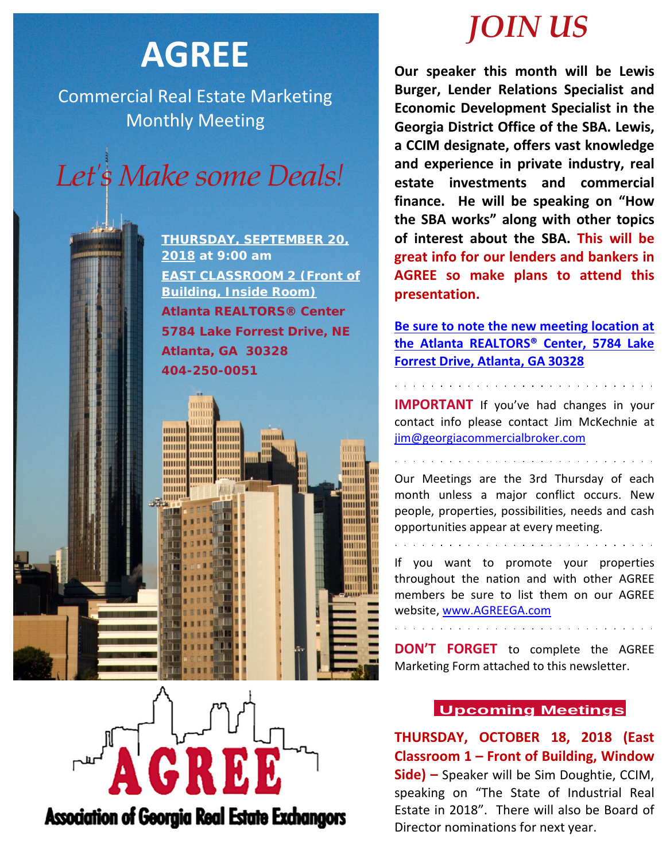# **AGREE**

Commercial Real Estate Marketing Monthly Meeting



**THURSDAY, SEPTEMBER 20, 2018 at 9:00 am EAST CLASSROOM 2 (Front of Building, Inside Room) Atlanta REALTORS® Center 5784 Lake Forrest Drive, NE Atlanta, GA 30328 404-250-0051**

mmm

шшш

mm TIFFI

munn

**MUHILI** mmm

THITITI

HHHHH

mmm

mmm **mmm Minimal Minima** 

mmm

mmm

mmm

mmm шшп

mmm

**MANITE** 

mmm

mmm

# *JOIN US*

**Our speaker this month will be Lewis Burger, Lender Relations Specialist and Economic Development Specialist in the Georgia District Office of the SBA. Lewis, a CCIM designate, offers vast knowledge and experience in private industry, real estate investments and commercial finance. He will be speaking on "How the SBA works" along with other topics of interest about the SBA. This will be great info for our lenders and bankers in AGREE so make plans to attend this presentation.**

**Be sure to note the new meeting location at the Atlanta REALTORS® Center, 5784 Lake Forrest Drive, Atlanta, GA 30328**

**IMPORTANT** If you've had changes in your contact info please contact Jim McKechnie at [jim@georgiacommercialbroker.com](mailto:jim@georgiacommercialbroker.com?subject=Changes%20to%20My%20Account)

Our Meetings are the 3rd Thursday of each month unless a major conflict occurs. New people, properties, possibilities, needs and cash opportunities appear at every meeting.

and the state of the state of the state of the state of the state of the state of the state of the state of the

If you want to promote your properties throughout the nation and with other AGREE members be sure to list them on our AGREE website, www.AGREEGA.com

**DON'T FORGET** to complete the AGREE Marketing Form attached to this newsletter.

# **Upcoming Meetings**

**THURSDAY, OCTOBER 18, 2018 (East Classroom 1 – Front of Building, Window Side) –** Speaker will be Sim Doughtie, CCIM, speaking on "The State of Industrial Real Estate in 2018". There will also be Board of Director nominations for next year.



**Association of Georgia Real Estate Exchangors**